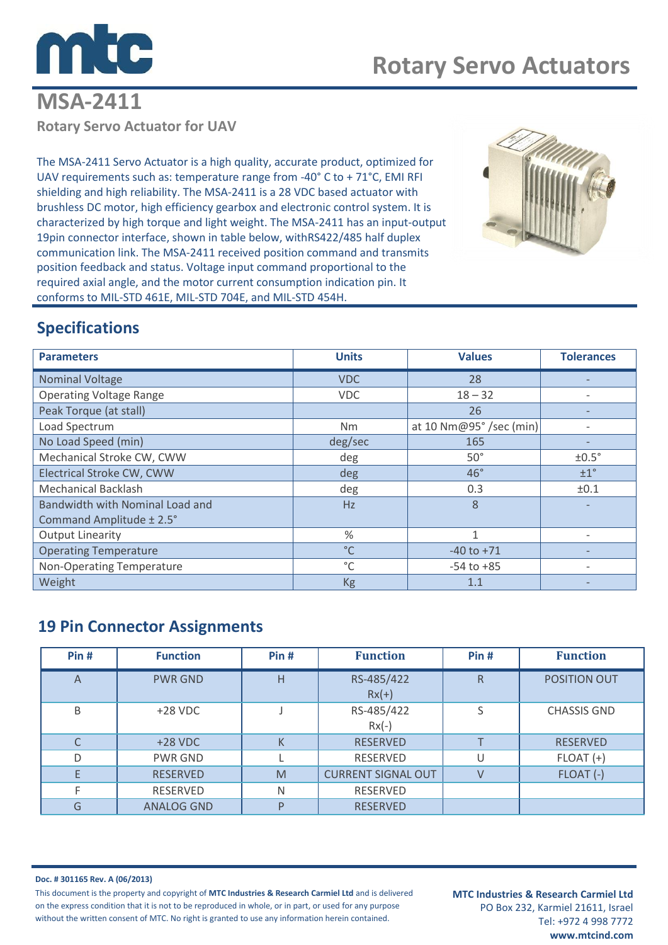

## **MSA-2411 Rotary Servo Actuator for UAV**

The MSA-2411 Servo Actuator is a high quality, accurate product, optimized for UAV requirements such as: temperature range from -40° C to + 71°C, EMI RFI shielding and high reliability. The MSA-2411 is a 28 VDC based actuator with brushless DC motor, high efficiency gearbox and electronic control system. It is characterized by high torque and light weight. The MSA-2411 has an input-output 19pin connector interface, shown in table below, withRS422/485 half duplex communication link. The MSA-2411 received position command and transmits position feedback and status. Voltage input command proportional to the required axial angle, and the motor current consumption indication pin. It conforms to MIL-STD 461E, MIL-STD 704E, and MIL-STD 454H.



## **Specifications**

| <b>Parameters</b>               | <b>Units</b> | <b>Values</b>           | <b>Tolerances</b> |
|---------------------------------|--------------|-------------------------|-------------------|
| <b>Nominal Voltage</b>          | <b>VDC</b>   | 28                      |                   |
| <b>Operating Voltage Range</b>  | <b>VDC</b>   | $18 - 32$               |                   |
| Peak Torque (at stall)          |              | 26                      |                   |
| Load Spectrum                   | Nm           | at 10 Nm@95° /sec (min) | $\qquad \qquad$   |
| No Load Speed (min)             | deg/sec      | 165                     |                   |
| Mechanical Stroke CW, CWW       | deg          | $50^\circ$              | ±0.5°             |
| Electrical Stroke CW, CWW       | deg          | $46^{\circ}$            | $\pm 1^{\circ}$   |
| <b>Mechanical Backlash</b>      | deg          | 0.3                     | ±0.1              |
| Bandwidth with Nominal Load and | Hz           | 8                       |                   |
| Command Amplitude ± 2.5°        |              |                         |                   |
| <b>Output Linearity</b>         | %            | 1                       |                   |
| <b>Operating Temperature</b>    | $^{\circ}$ C | $-40$ to $+71$          |                   |
| Non-Operating Temperature       | $^{\circ}$ C | $-54$ to $+85$          |                   |
| Weight                          | <b>Kg</b>    | 1.1                     |                   |

### **19 Pin Connector Assignments**

| Pin#           | <b>Function</b>   | Pin# | <b>Function</b>           | Pin#         | <b>Function</b>     |
|----------------|-------------------|------|---------------------------|--------------|---------------------|
| $\overline{A}$ | <b>PWR GND</b>    | H    | RS-485/422<br>$Rx(+)$     | $\mathsf{R}$ | <b>POSITION OUT</b> |
| B              | $+28$ VDC         |      | RS-485/422<br>$Rx(-)$     | S            | <b>CHASSIS GND</b>  |
| C              | $+28$ VDC         | К    | <b>RESERVED</b>           |              | <b>RESERVED</b>     |
| D              | <b>PWR GND</b>    |      | RESERVED                  | U            | $FLOAT (+)$         |
| E              | <b>RESERVED</b>   | M    | <b>CURRENT SIGNAL OUT</b> | V            | FLOAT (-)           |
| F              | RESERVED          | N    | RESERVED                  |              |                     |
| G              | <b>ANALOG GND</b> | P    | <b>RESERVED</b>           |              |                     |

**Doc. # 301165 Rev. A (06/2013)**

This document is the property and copyright of **MTC Industries & Research Carmiel Ltd** and is delivered on the express condition that it is not to be reproduced in whole, or in part, or used for any purpose without the written consent of MTC. No right is granted to use any information herein contained.

**MTC Industries & Research Carmiel Ltd** PO Box 232, Karmiel 21611, Israel Tel: +972 4 998 7772 **www.mtcind.com**